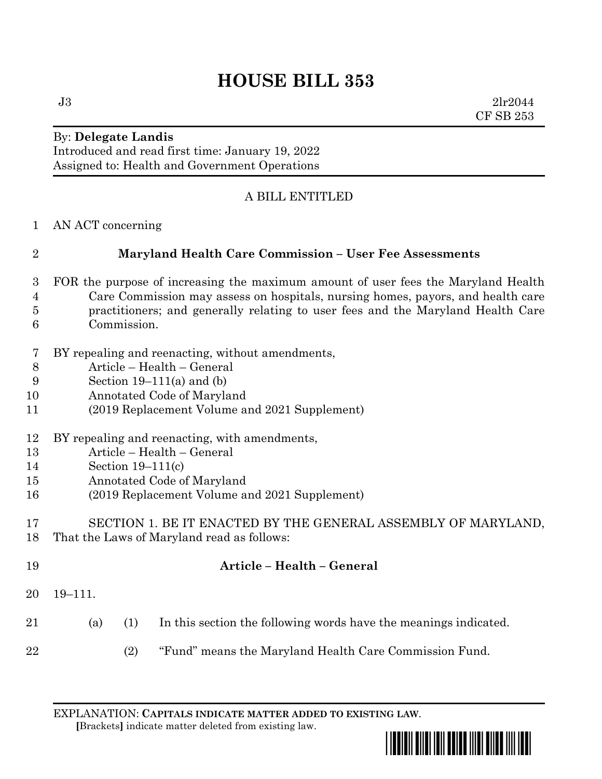# **HOUSE BILL 353**

 $J3 \t2lr2044$ CF SB 253

#### By: **Delegate Landis** Introduced and read first time: January 19, 2022 Assigned to: Health and Government Operations

## A BILL ENTITLED

AN ACT concerning

## **Maryland Health Care Commission – User Fee Assessments**

- FOR the purpose of increasing the maximum amount of user fees the Maryland Health Care Commission may assess on hospitals, nursing homes, payors, and health care practitioners; and generally relating to user fees and the Maryland Health Care Commission.
- BY repealing and reenacting, without amendments,
- Article Health General
- Section 19–111(a) and (b)
- Annotated Code of Maryland
- (2019 Replacement Volume and 2021 Supplement)
- BY repealing and reenacting, with amendments,
- Article Health General
- Section 19–111(c)
- Annotated Code of Maryland
- (2019 Replacement Volume and 2021 Supplement)
- SECTION 1. BE IT ENACTED BY THE GENERAL ASSEMBLY OF MARYLAND, That the Laws of Maryland read as follows:

| 19 |         |                | Article – Health – General                                       |
|----|---------|----------------|------------------------------------------------------------------|
| 20 | 19–111. |                |                                                                  |
| 21 | (a)     | (1)            | In this section the following words have the meanings indicated. |
| 22 |         | <sup>(2)</sup> | "Fund" means the Maryland Health Care Commission Fund.           |

 **[**Brackets**]** indicate matter deleted from existing law.

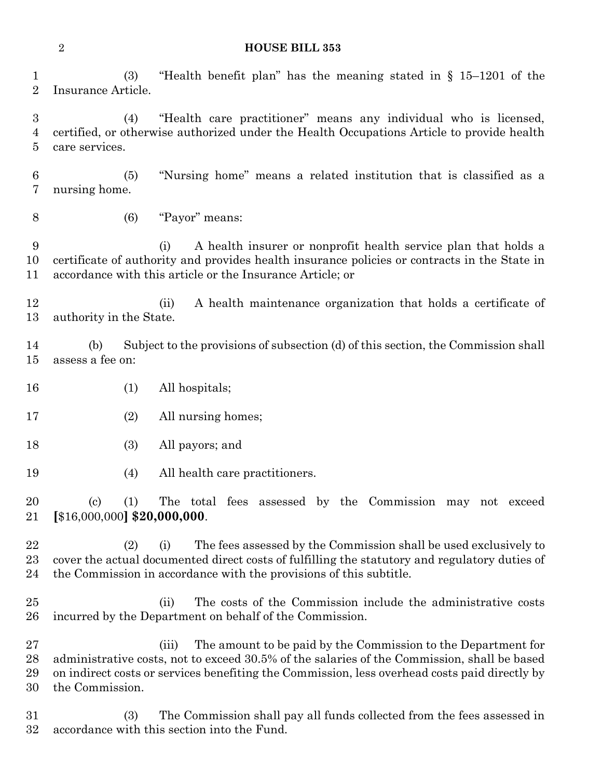**HOUSE BILL 353**

 (3) "Health benefit plan" has the meaning stated in § 15–1201 of the Insurance Article.

 (4) "Health care practitioner" means any individual who is licensed, certified, or otherwise authorized under the Health Occupations Article to provide health care services.

 (5) "Nursing home" means a related institution that is classified as a nursing home.

(6) "Payor" means:

 (i) A health insurer or nonprofit health service plan that holds a certificate of authority and provides health insurance policies or contracts in the State in accordance with this article or the Insurance Article; or

 (ii) A health maintenance organization that holds a certificate of authority in the State.

 (b) Subject to the provisions of subsection (d) of this section, the Commission shall assess a fee on:

- (1) All hospitals;
- 17 (2) All nursing homes;
- (3) All payors; and
- (4) All health care practitioners.

 (c) (1) The total fees assessed by the Commission may not exceed **[**\$16,000,000**] \$20,000,000**.

 (2) (i) The fees assessed by the Commission shall be used exclusively to cover the actual documented direct costs of fulfilling the statutory and regulatory duties of the Commission in accordance with the provisions of this subtitle.

 (ii) The costs of the Commission include the administrative costs incurred by the Department on behalf of the Commission.

 (iii) The amount to be paid by the Commission to the Department for administrative costs, not to exceed 30.5% of the salaries of the Commission, shall be based on indirect costs or services benefiting the Commission, less overhead costs paid directly by the Commission.

 (3) The Commission shall pay all funds collected from the fees assessed in accordance with this section into the Fund.